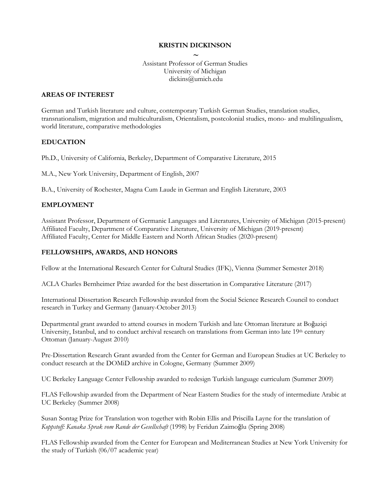# **KRISTIN DICKINSON**

**~** Assistant Professor of German Studies University of Michigan dickins@umich.edu

# **AREAS OF INTEREST**

German and Turkish literature and culture, contemporary Turkish German Studies, translation studies, transnationalism, migration and multiculturalism, Orientalism, postcolonial studies, mono- and multilingualism, world literature, comparative methodologies

# **EDUCATION**

Ph.D., University of California, Berkeley, Department of Comparative Literature, 2015

M.A., New York University, Department of English, 2007

B.A., University of Rochester, Magna Cum Laude in German and English Literature, 2003

# **EMPLOYMENT**

Assistant Professor, Department of Germanic Languages and Literatures, University of Michigan (2015-present) Affiliated Faculty, Department of Comparative Literature, University of Michigan (2019-present) Affiliated Faculty, Center for Middle Eastern and North African Studies (2020-present)

# **FELLOWSHIPS, AWARDS, AND HONORS**

Fellow at the International Research Center for Cultural Studies (IFK), Vienna (Summer Semester 2018)

ACLA Charles Bernheimer Prize awarded for the best dissertation in Comparative Literature (2017)

International Dissertation Research Fellowship awarded from the Social Science Research Council to conduct research in Turkey and Germany (January-October 2013)

Departmental grant awarded to attend courses in modern Turkish and late Ottoman literature at Boğaziçi University, Istanbul, and to conduct archival research on translations from German into late 19th century Ottoman (January-August 2010)

Pre-Dissertation Research Grant awarded from the Center for German and European Studies at UC Berkeley to conduct research at the DOMiD archive in Cologne, Germany (Summer 2009)

UC Berkeley Language Center Fellowship awarded to redesign Turkish language curriculum (Summer 2009)

FLAS Fellowship awarded from the Department of Near Eastern Studies for the study of intermediate Arabic at UC Berkeley (Summer 2008)

Susan Sontag Prize for Translation won together with Robin Ellis and Priscilla Layne for the translation of *Koppstoff: Kanaka Sprak vom Rande der Gesellschaft* (1998) by Feridun Zaimoğlu (Spring 2008)

FLAS Fellowship awarded from the Center for European and Mediterranean Studies at New York University for the study of Turkish (06/07 academic year)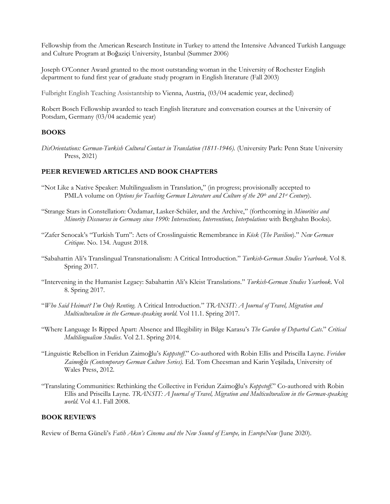Fellowship from the American Research Institute in Turkey to attend the Intensive Advanced Turkish Language and Culture Program at Boğaziçi University, Istanbul (Summer 2006)

Joseph O'Conner Award granted to the most outstanding woman in the University of Rochester English department to fund first year of graduate study program in English literature (Fall 2003)

Fulbright English Teaching Assistantship to Vienna, Austria, (03/04 academic year, declined)

Robert Bosch Fellowship awarded to teach English literature and conversation courses at the University of Potsdam, Germany (03/04 academic year)

#### **BOOKS**

*DisOrientations: German-Turkish Cultural Contact in Translation (1811-1946).* (University Park: Penn State University Press, 2021)

### **PEER REVIEWED ARTICLES AND BOOK CHAPTERS**

- "Not Like a Native Speaker: Multilingualism in Translation," (in progress; provisionally accepted to PMLA volume on *Options for Teaching German Literature and Culture of the 20<sup>th</sup> and 21st Century*).
- "Strange Stars in Constellation: Özdamar, Lasker-Schüler, and the Archive," (forthcoming in *Minorities and Minority Discourses in Germany since 1990: Intersections, Interventions, Interpolations* with Berghahn Books).
- "Zafer Senocak's "Turkish Turn": Acts of Crosslinguistic Remembrance in *Kösk* (*The Pavilion*)*.*" *New German Critique.* No. 134. August 2018.
- "Sabahattin Ali's Translingual Transnationalism: A Critical Introduction." *Turkish-German Studies Yearbook*. Vol 8. Spring 2017.
- "Intervening in the Humanist Legacy: Sabahattin Ali's Kleist Translations." *Turkish-German Studies Yearbook*. Vol 8. Spring 2017.
- "*Who Said Heimat? I'm Only Renting*. A Critical Introduction." *TRANSIT: A Journal of Travel, Migration and Multiculturalism in the German-speaking world*. Vol 11.1. Spring 2017.
- "Where Language Is Ripped Apart: Absence and Illegibility in Bilge Karasu's *The Garden of Departed Cats*." *Critical Multilingualism Studies*. Vol 2.1. Spring 2014.
- "Linguistic Rebellion in Feridun Zaimoğlu's *Koppstoff*." Co-authored with Robin Ellis and Priscilla Layne. *Feridun Zaimoğlu (Contemporary German Culture Series).* Ed. Tom Cheesman and Karin Yeşilada, University of Wales Press, 2012.
- "Translating Communities: Rethinking the Collective in Feridun Zaimoğlu's *Koppstoff*." Co-authored with Robin Ellis and Priscilla Layne. *TRANSIT: A Journal of Travel, Migration and Multiculturalism in the German-speaking world*. Vol 4.1. Fall 2008.

# **BOOK REVIEWS**

Review of Berna Güneli's *Fatih Akın's Cinema and the New Sound of Europe,* in *EuropeNow* (June 2020).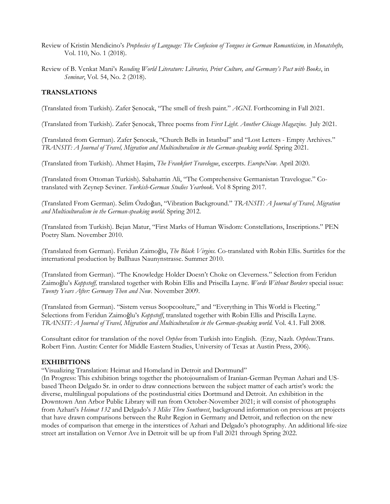- Review of Kristin Mendicino's *Prophecies of Language: The Confusion of Tongues in German Romanticism,* in *Monatshefte,*  Vol. 110, No. 1 (2018).
- Review of B. Venkat Mani's *Recoding World Literature: Libraries, Print Culture, and Germany's Pact with Books*, in *Seminar*, Vol. 54, No. 2 (2018).

# **TRANSLATIONS**

(Translated from Turkish). Zafer Şenocak, "The smell of fresh paint." *AGNI*. Forthcoming in Fall 2021.

(Translated from Turkish). Zafer Şenocak, Three poems from *First Light*. *Another Chicago Magazine*. July 2021.

(Translated from German). Zafer Şenocak, "Church Bells in Istanbul" and "Lost Letters - Empty Archives." *TRANSIT: A Journal of Travel, Migration and Multiculturalism in the German-speaking world*. Spring 2021.

(Translated from Turkish). Ahmet Haşim, *The Frankfurt Travelogue*, excerpts. *EuropeNow.* April 2020.

(Translated from Ottoman Turkish). Sabahattin Ali, "The Comprehensive Germanistan Travelogue." Cotranslated with Zeynep Seviner. *Turkish-German Studies Yearbook*. Vol 8 Spring 2017.

(Translated From German). Selim Özdoğan, "Vibration Background." *TRANSIT: A Journal of Travel, Migration and Multiculturalism in the German-speaking world*. Spring 2012.

(Translated from Turkish). Bejan Matur, "First Marks of Human Wisdom: Constellations, Inscriptions." PEN Poetry Slam. November 2010.

(Translated from German). Feridun Zaimoğlu, *The Black Virgins.* Co-translated with Robin Ellis. Surtitles for the international production by Ballhaus Naunynstrasse. Summer 2010.

(Translated from German). "The Knowledge Holder Doesn't Choke on Cleverness." Selection from Feridun Zaimoğlu's *Koppstoff,* translated together with Robin Ellis and Priscilla Layne. *Words Without Borders* special issue: *Twenty Years After: Germany Then and Now*. November 2009.

(Translated from German). "Sistem versus Soopcoolture," and "Everything in This World is Fleeting." Selections from Feridun Zaimoğlu's *Koppstoff*, translated together with Robin Ellis and Priscilla Layne. *TRANSIT: A Journal of Travel, Migration and Multiculturalism in the German-speaking world*. Vol. 4.1. Fall 2008.

Consultant editor for translation of the novel *Orphee* from Turkish into English. (Eray, Nazlı. *Orpheus*.Trans. Robert Finn. Austin: Center for Middle Eastern Studies, University of Texas at Austin Press, 2006).

# **EXHIBITIONS**

"Visualizing Translation: Heimat and Homeland in Detroit and Dortmund"

(In Progress: This exhibition brings together the photojournalism of Iranian-German Peyman Azhari and USbased Theon Delgado Sr. in order to draw connections between the subject matter of each artist's work: the diverse, multilingual populations of the postindustrial cities Dortmund and Detroit. An exhibition in the Downtown Ann Arbor Public Library will run from October-November 2021; it will consist of photographs from Azhari's *Heimat 132* and Delgado's *3 Miles Thru Southwest*, background information on previous art projects that have drawn comparisons between the Ruhr Region in Germany and Detroit, and reflection on the new modes of comparison that emerge in the interstices of Azhari and Delgado's photography. An additional life-size street art installation on Vernor Ave in Detroit will be up from Fall 2021 through Spring 2022.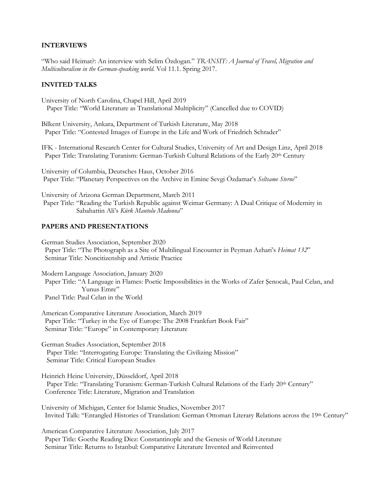# **INTERVIEWS**

"Who said Heimat?: An interview with Selim Özdogan." *TRANSIT: A Journal of Travel, Migration and Multiculturalism in the German-speaking world*. Vol 11.1. Spring 2017.

# **INVITED TALKS**

University of North Carolina, Chapel Hill, April 2019 Paper Title: "World Literature as Translational Multiplicity" (Cancelled due to COVID)

Bilkent University, Ankara, Department of Turkish Literature, May 2018 Paper Title: "Contested Images of Europe in the Life and Work of Friedrich Schrader"

IFK - International Research Center for Cultural Studies, University of Art and Design Linz, April 2018 Paper Title: Translating Turanism: German-Turkish Cultural Relations of the Early 20th Century

University of Columbia, Deutsches Haus, October 2016 Paper Title: "Planetary Perspectives on the Archive in Emine Sevgi Özdamar's *Seltsame Sterne*"

University of Arizona German Department, March 2011 Paper Title: "Reading the Turkish Republic against Weimar Germany: A Dual Critique of Modernity in Sabahattin Ali's *Kürk Mantolu Madonna*"

### **PAPERS AND PRESENTATIONS**

German Studies Association, September 2020 Paper Title: "The Photograph as a Site of Multilingual Encounter in Peyman Azhari's *Heimat 132*" Seminar Title: Noncitizenship and Artistic Practice

Modern Language Association, January 2020 Paper Title: "A Language in Flames: Poetic Impossibilities in the Works of Zafer Şenocak, Paul Celan, and Yunus Emre" Panel Title: Paul Celan in the World

American Comparative Literature Association, March 2019 Paper Title: "Turkey in the Eye of Europe: The 2008 Frankfurt Book Fair" Seminar Title: "Europe" in Contemporary Literature

German Studies Association, September 2018 Paper Title: "Interrogating Europe: Translating the Civilizing Mission" Seminar Title: Critical European Studies

Heinrich Heine University, Düsseldorf, April 2018 Paper Title: "Translating Turanism: German-Turkish Cultural Relations of the Early 20th Century" Conference Title: Literature, Migration and Translation

University of Michigan, Center for Islamic Studies, November 2017 Invited Talk: "Entangled Histories of Translation: German Ottoman Literary Relations across the 19th Century"

American Comparative Literature Association, July 2017 Paper Title: Goethe Reading Diez: Constantinople and the Genesis of World Literature Seminar Title: Returns to Istanbul: Comparative Literature Invented and Reinvented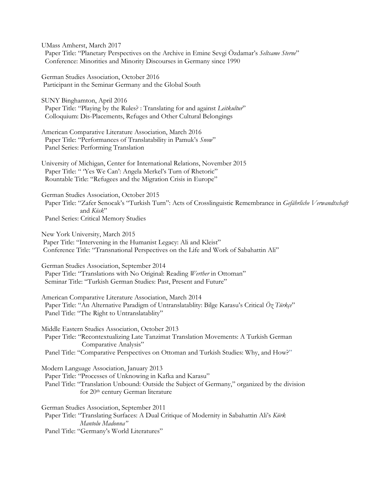UMass Amherst, March 2017 Paper Title: "Planetary Perspectives on the Archive in Emine Sevgi Özdamar's *Seltsame Sterne*" Conference: Minorities and Minority Discourses in Germany since 1990

German Studies Association, October 2016 Participant in the Seminar Germany and the Global South

SUNY Binghamton, April 2016 Paper Title: "Playing by the Rules? : Translating for and against *Leitkultur*" Colloquium: Dis-Placements, Refuges and Other Cultural Belongings

American Comparative Literature Association, March 2016 Paper Title: "Performances of Translatability in Pamuk's *Snow*" Panel Series: Performing Translation

University of Michigan, Center for International Relations, November 2015 Paper Title: " Yes We Can': Angela Merkel's Turn of Rhetoric" Rountable Title: "Refugees and the Migration Crisis in Europe"

German Studies Association, October 2015 Paper Title: "Zafer Senocak's "Turkish Turn": Acts of Crosslinguistic Remembrance in *Gefährliche Verwandtschaft* and *Kösk*" Panel Series: Critical Memory Studies

New York University, March 2015 Paper Title: "Intervening in the Humanist Legacy: Ali and Kleist" Conference Title: "Transnational Perspectives on the Life and Work of Sabahattin Ali"

German Studies Association, September 2014 Paper Title: "Translations with No Original: Reading *Werther* in Ottoman" Seminar Title: "Turkish German Studies: Past, Present and Future"

American Comparative Literature Association, March 2014 Paper Title: "An Alternative Paradigm of Untranslatablity: Bilge Karasu's Critical *Öz Türkçe*" Panel Title: "The Right to Untranslatablity"

Middle Eastern Studies Association, October 2013 Paper Title: "Recontextualizing Late Tanzimat Translation Movements: A Turkish German Comparative Analysis" Panel Title: "Comparative Perspectives on Ottoman and Turkish Studies: Why, and How?"

Modern Language Association, January 2013 Paper Title: "Processes of Unknowing in Kafka and Karasu" Panel Title: "Translation Unbound: Outside the Subject of Germany," organized by the division for 20th century German literature

German Studies Association, September 2011 Paper Title: "Translating Surfaces: A Dual Critique of Modernity in Sabahattin Ali's *Kürk Mantolu Madonna"*  Panel Title: "Germany's World Literatures"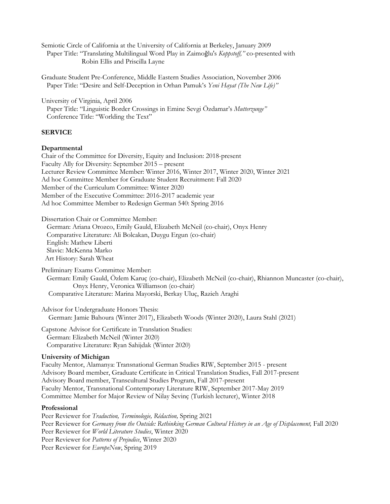Semiotic Circle of California at the University of California at Berkeley, January 2009 Paper Title: "Translating Multilingual Word Play in Zaimoğlu's *Koppstoff,"* co-presented with Robin Ellis and Priscilla Layne

Graduate Student Pre-Conference, Middle Eastern Studies Association, November 2006 Paper Title: "Desire and Self-Deception in Orhan Pamuk's *Yeni Hayat (The New Life)"* 

University of Virginia, April 2006 Paper Title: "Linguistic Border Crossings in Emine Sevgi Özdamar's *Mutterzunge"* Conference Title: "Worlding the Text"

### **SERVICE**

#### **Departmental**

Chair of the Committee for Diversity, Equity and Inclusion: 2018-present Faculty Ally for Diversity: September 2015 – present Lecturer Review Committee Member: Winter 2016, Winter 2017, Winter 2020, Winter 2021 Ad hoc Committee Member for Graduate Student Recruitment: Fall 2020 Member of the Curriculum Committee: Winter 2020 Member of the Executive Committee: 2016-2017 academic year Ad hoc Committee Member to Redesign German 540: Spring 2016

Dissertation Chair or Committee Member:

 German: Ariana Orozco, Emily Gauld, Elizabeth McNeil (co-chair), Onyx Henry Comparative Literature: Ali Bolcakan, Duygu Ergun (co-chair) English: Mathew Liberti Slavic: McKenna Marko Art History: Sarah Wheat

Preliminary Exams Committee Member: German: Emily Gauld, Özlem Karuç (co-chair), Elizabeth McNeil (co-chair), Rhiannon Muncaster (co-chair), Onyx Henry, Veronica Williamson (co-chair) Comparative Literature: Marina Mayorski, Berkay Uluç, Razieh Araghi

Advisor for Undergraduate Honors Thesis: German: Jamie Bahoura (Winter 2017), Elizabeth Woods (Winter 2020), Laura Stahl (2021)

Capstone Advisor for Certificate in Translation Studies: German: Elizabeth McNeil (Winter 2020) Comparative Literature: Ryan Sahijdak (Winter 2020)

#### **University of Michigan**

Faculty Mentor, Alamanya: Transnational German Studies RIW, September 2015 - present Advisory Board member, Graduate Certificate in Critical Translation Studies, Fall 2017-present Advisory Board member, Transcultural Studies Program, Fall 2017-present Faculty Mentor, Transnational Contemporary Literature RIW, September 2017-May 2019 Committee Member for Major Review of Nilay Sevinç (Turkish lecturer), Winter 2018

#### **Professional**

Peer Reviewer for *Traduction, Terminologie, Rédaction,* Spring 2021 Peer Reviewer for *Germany from the Outside: Rethinking German Cultural History in an Age of Displacement*, Fall 2020 Peer Reviewer for *World Literature Studies*, Winter 2020 Peer Reviewer for *Patterns of Prejudice*, Winter 2020 Peer Reviewer for *EuropeNow*, Spring 2019